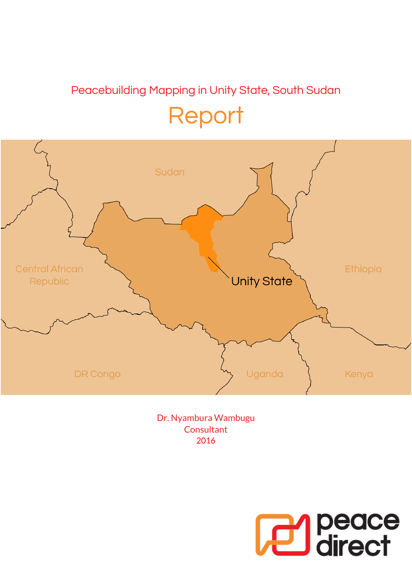## Peacebuilding Mapping in Unity State, South Sudan Report



Dr. Nyambura Wambugu **Consultant** 2016

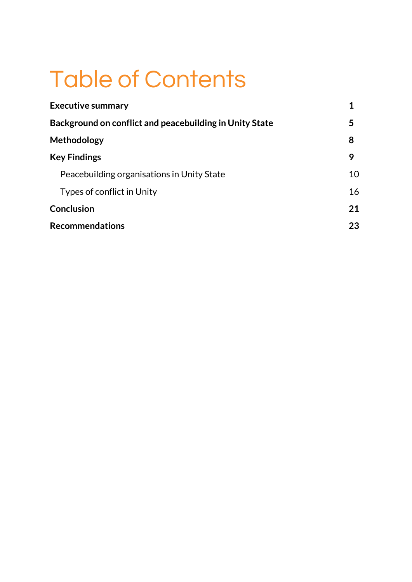## Table of Contents

| <b>Executive summary</b>                                |    |
|---------------------------------------------------------|----|
| Background on conflict and peacebuilding in Unity State | 5  |
| Methodology                                             | 8  |
| <b>Key Findings</b>                                     | 9  |
| Peacebuilding organisations in Unity State              | 10 |
| Types of conflict in Unity                              | 16 |
| <b>Conclusion</b>                                       | 21 |
| <b>Recommendations</b>                                  | 23 |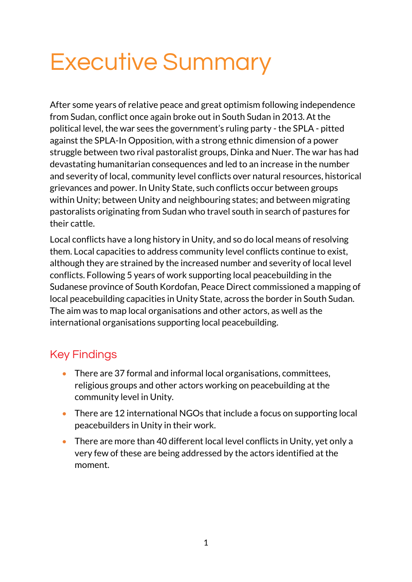## Executive Summary

After some years of relative peace and great optimism following independence from Sudan, conflict once again broke out in South Sudan in 2013. At the political level, the war sees the government's ruling party - the SPLA - pitted against the SPLA-In Opposition, with a strong ethnic dimension of a power struggle between two rival pastoralist groups, Dinka and Nuer. The war has had devastating humanitarian consequences and led to an increase in the number and severity of local, community level conflicts over natural resources, historical grievances and power. In Unity State, such conflicts occur between groups within Unity; between Unity and neighbouring states; and between migrating pastoralists originating from Sudan who travel south in search of pastures for their cattle.

Local conflicts have a long history in Unity, and so do local means of resolving them. Local capacities to address community level conflicts continue to exist, although they are strained by the increased number and severity of local level conflicts. Following 5 years of work supporting local peacebuilding in the Sudanese province of South Kordofan, Peace Direct commissioned a mapping of local peacebuilding capacities in Unity State, across the border in South Sudan. The aim was to map local organisations and other actors, as well as the international organisations supporting local peacebuilding.

## Key Findings

- There are 37 formal and informal local organisations, committees, religious groups and other actors working on peacebuilding at the community level in Unity.
- There are 12 international NGOs that include a focus on supporting local peacebuilders in Unity in their work.
- There are more than 40 different local level conflicts in Unity, yet only a very few of these are being addressed by the actors identified at the moment.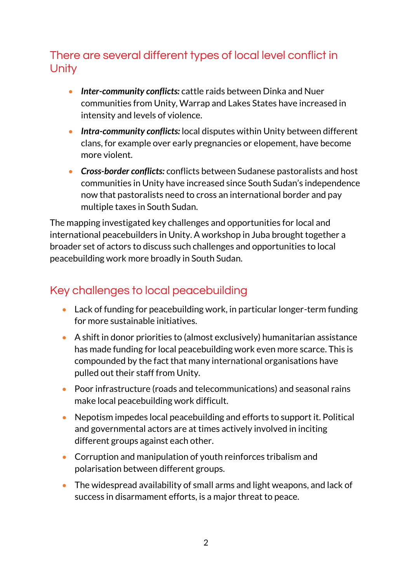## There are several different types of local level conflict in **Unity**

- *Inter-community conflicts:* cattle raids between Dinka and Nuer communities from Unity, Warrap and Lakes States have increased in intensity and levels of violence.
- *Intra-community conflicts:* local disputes within Unity between different clans, for example over early pregnancies or elopement, have become more violent.
- *Cross-border conflicts:* conflicts between Sudanese pastoralists and host communities in Unity have increased since South Sudan's independence now that pastoralists need to cross an international border and pay multiple taxes in South Sudan.

The mapping investigated key challenges and opportunities for local and international peacebuilders in Unity. A workshop in Juba brought together a broader set of actors to discuss such challenges and opportunities to local peacebuilding work more broadly in South Sudan.

## Key challenges to local peacebuilding

- Lack of funding for peacebuilding work, in particular longer-term funding for more sustainable initiatives.
- A shift in donor priorities to (almost exclusively) humanitarian assistance has made funding for local peacebuilding work even more scarce. This is compounded by the fact that many international organisations have pulled out their staff from Unity.
- Poor infrastructure (roads and telecommunications) and seasonal rains make local peacebuilding work difficult.
- Nepotism impedes local peacebuilding and efforts to support it. Political and governmental actors are at times actively involved in inciting different groups against each other.
- Corruption and manipulation of youth reinforces tribalism and polarisation between different groups.
- The widespread availability of small arms and light weapons, and lack of success in disarmament efforts, is a major threat to peace.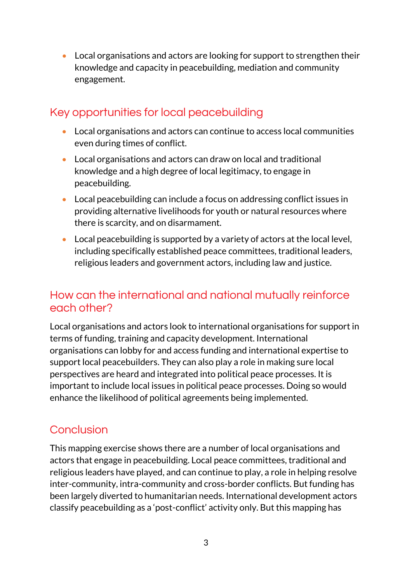Local organisations and actors are looking for support to strengthen their knowledge and capacity in peacebuilding, mediation and community engagement.

## Key opportunities for local peacebuilding

- Local organisations and actors can continue to access local communities even during times of conflict.
- Local organisations and actors can draw on local and traditional knowledge and a high degree of local legitimacy, to engage in peacebuilding.
- Local peacebuilding can include a focus on addressing conflict issues in providing alternative livelihoods for youth or natural resources where there is scarcity, and on disarmament.
- Local peacebuilding is supported by a variety of actors at the local level, including specifically established peace committees, traditional leaders, religious leaders and government actors, including law and justice.

## How can the international and national mutually reinforce each other?

Local organisations and actors look to international organisations for support in terms of funding, training and capacity development. International organisations can lobby for and access funding and international expertise to support local peacebuilders. They can also play a role in making sure local perspectives are heard and integrated into political peace processes. It is important to include local issues in political peace processes. Doing so would enhance the likelihood of political agreements being implemented.

## Conclusion

This mapping exercise shows there are a number of local organisations and actors that engage in peacebuilding. Local peace committees, traditional and religious leaders have played, and can continue to play, a role in helping resolve inter-community, intra-community and cross-border conflicts. But funding has been largely diverted to humanitarian needs. International development actors classify peacebuilding as a 'post-conflict' activity only. But this mapping has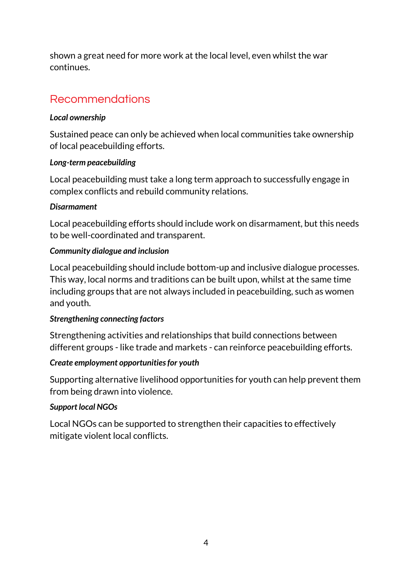shown a great need for more work at the local level, even whilst the war continues.

## Recommendations

### *Local ownership*

Sustained peace can only be achieved when local communities take ownership of local peacebuilding efforts.

#### *Long-term peacebuilding*

Local peacebuilding must take a long term approach to successfully engage in complex conflicts and rebuild community relations.

### *Disarmament*

Local peacebuilding efforts should include work on disarmament, but this needs to be well-coordinated and transparent.

### *Community dialogue and inclusion*

Local peacebuilding should include bottom-up and inclusive dialogue processes. This way, local norms and traditions can be built upon, whilst at the same time including groups that are not always included in peacebuilding, such as women and youth.

#### *Strengthening connecting factors*

Strengthening activities and relationships that build connections between different groups - like trade and markets - can reinforce peacebuilding efforts.

## *Create employment opportunities for youth*

Supporting alternative livelihood opportunities for youth can help prevent them from being drawn into violence.

## *Support local NGOs*

Local NGOs can be supported to strengthen their capacities to effectively mitigate violent local conflicts.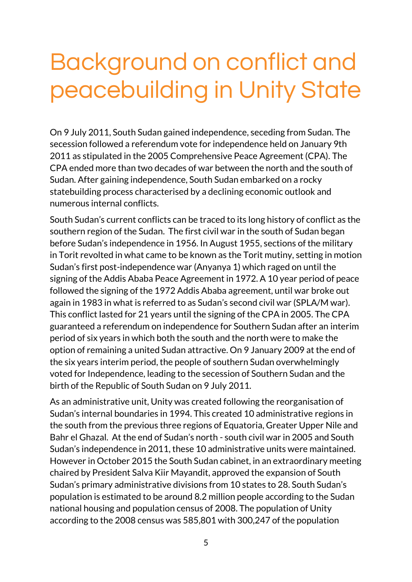## Background on conflict and peacebuilding in Unity State

On 9 July 2011, South Sudan gained independence, seceding from Sudan. The secession followed a referendum vote for independence held on January 9th 2011 as stipulated in the 2005 Comprehensive Peace Agreement (CPA). The CPA ended more than two decades of war between the north and the south of Sudan. After gaining independence, South Sudan embarked on a rocky statebuilding process characterised by a declining economic outlook and numerous internal conflicts.

South Sudan's current conflicts can be traced to its long history of conflict as the southern region of the Sudan. The first civil war in the south of Sudan began before Sudan's independence in 1956. In August 1955, sections of the military in Torit revolted in what came to be known as the Torit mutiny, setting in motion Sudan's first post-independence war (Anyanya 1) which raged on until the signing of the Addis Ababa Peace Agreement in 1972. A 10 year period of peace followed the signing of the 1972 Addis Ababa agreement, until war broke out again in 1983 in what is referred to as Sudan's second civil war (SPLA/M war). This conflict lasted for 21 years until the signing of the CPA in 2005. The CPA guaranteed a referendum on independence for Southern Sudan after an interim period of six years in which both the south and the north were to make the option of remaining a united Sudan attractive. On 9 January 2009 at the end of the six years interim period, the people of southern Sudan overwhelmingly voted for Independence, leading to the secession of Southern Sudan and the birth of the Republic of South Sudan on 9 July 2011.

As an administrative unit, Unity was created following the reorganisation of Sudan's internal boundaries in 1994. This created 10 administrative regions in the south from the previous three regions of Equatoria, Greater Upper Nile and Bahr el Ghazal. At the end of Sudan's north - south civil war in 2005 and South Sudan's independence in 2011, these 10 administrative units were maintained. However in October 2015 the South Sudan cabinet, in an extraordinary meeting chaired by President Salva Kiir Mayandit, approved the expansion of South Sudan's primary administrative divisions from 10 states to 28. South Sudan's population is estimated to be around 8.2 million people according to the Sudan national housing and population census of 2008. The population of Unity according to the 2008 census was 585,801 with 300,247 of the population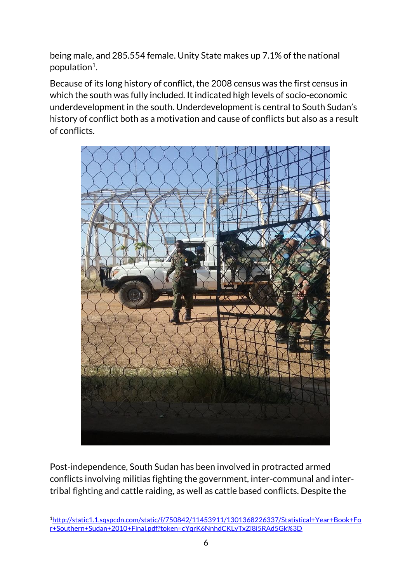being male, and 285.554 female. Unity State makes up 7.1% of the national population<sup>1</sup>.

Because of its long history of conflict, the 2008 census was the first census in which the south was fully included. It indicated high levels of socio-economic underdevelopment in the south. Underdevelopment is central to South Sudan's history of conflict both as a motivation and cause of conflicts but also as a result of conflicts.



Post-independence, South Sudan has been involved in protracted armed conflicts involving militias fighting the government, inter-communal and intertribal fighting and cattle raiding, as well as cattle based conflicts. Despite the

<u>.</u>

<sup>1</sup>[http://static1.1.sqspcdn.com/static/f/750842/11453911/1301368226337/Statistical+Year+Book+Fo](http://static1.1.sqspcdn.com/static/f/750842/11453911/1301368226337/Statistical+Year+Book+For+Southern+Sudan+2010+Final.pdf?token=cYqrK6NnhdCKLyTxZi8i5RAd5Gk%3D) [r+Southern+Sudan+2010+Final.pdf?token=cYqrK6NnhdCKLyTxZi8i5RAd5Gk%3D](http://static1.1.sqspcdn.com/static/f/750842/11453911/1301368226337/Statistical+Year+Book+For+Southern+Sudan+2010+Final.pdf?token=cYqrK6NnhdCKLyTxZi8i5RAd5Gk%3D)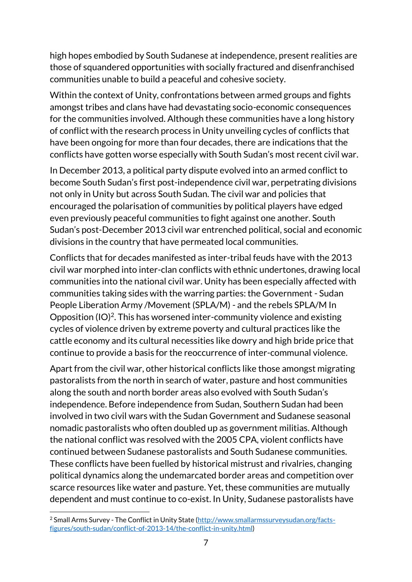high hopes embodied by South Sudanese at independence, present realities are those of squandered opportunities with socially fractured and disenfranchised communities unable to build a peaceful and cohesive society.

Within the context of Unity, confrontations between armed groups and fights amongst tribes and clans have had devastating socio-economic consequences for the communities involved. Although these communities have a long history of conflict with the research process in Unity unveiling cycles of conflicts that have been ongoing for more than four decades, there are indications that the conflicts have gotten worse especially with South Sudan's most recent civil war.

In December 2013, a political party dispute evolved into an armed conflict to become South Sudan's first post-independence civil war, perpetrating divisions not only in Unity but across South Sudan. The civil war and policies that encouraged the polarisation of communities by political players have edged even previously peaceful communities to fight against one another. South Sudan's post-December 2013 civil war entrenched political, social and economic divisions in the country that have permeated local communities.

Conflicts that for decades manifested as inter-tribal feuds have with the 2013 civil war morphed into inter-clan conflicts with ethnic undertones, drawing local communities into the national civil war. Unity has been especially affected with communities taking sides with the warring parties: the Government - Sudan People Liberation Army /Movement (SPLA/M) - and the rebels SPLA/M In Opposition (IO)<sup>2</sup>. This has worsened inter-community violence and existing cycles of violence driven by extreme poverty and cultural practices like the cattle economy and its cultural necessities like dowry and high bride price that continue to provide a basis for the reoccurrence of inter-communal violence.

Apart from the civil war, other historical conflicts like those amongst migrating pastoralists from the north in search of water, pasture and host communities along the south and north border areas also evolved with South Sudan's independence. Before independence from Sudan, Southern Sudan had been involved in two civil wars with the Sudan Government and Sudanese seasonal nomadic pastoralists who often doubled up as government militias. Although the national conflict was resolved with the 2005 CPA, violent conflicts have continued between Sudanese pastoralists and South Sudanese communities. These conflicts have been fuelled by historical mistrust and rivalries, changing political dynamics along the undemarcated border areas and competition over scarce resources like water and pasture. Yet, these communities are mutually dependent and must continue to co-exist. In Unity, Sudanese pastoralists have

<u>.</u>

<sup>&</sup>lt;sup>2</sup> Small Arms Survey - The Conflict in Unity State [\(http://www.smallarmssurveysudan.org/facts](http://www.smallarmssurveysudan.org/facts-figures/south-sudan/conflict-of-2013-14/the-conflict-in-unity.html)[figures/south-sudan/conflict-of-2013-14/the-conflict-in-unity.html\)](http://www.smallarmssurveysudan.org/facts-figures/south-sudan/conflict-of-2013-14/the-conflict-in-unity.html)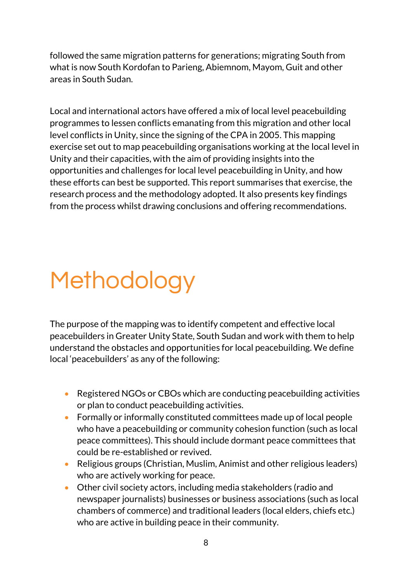followed the same migration patterns for generations; migrating South from what is now South Kordofan to Parieng, Abiemnom, Mayom, Guit and other areas in South Sudan.

Local and international actors have offered a mix of local level peacebuilding programmes to lessen conflicts emanating from this migration and other local level conflicts in Unity, since the signing of the CPA in 2005. This mapping exercise set out to map peacebuilding organisations working at the local level in Unity and their capacities, with the aim of providing insights into the opportunities and challenges for local level peacebuilding in Unity, and how these efforts can best be supported. This report summarises that exercise, the research process and the methodology adopted. It also presents key findings from the process whilst drawing conclusions and offering recommendations.

# Methodology

The purpose of the mapping was to identify competent and effective local peacebuilders in Greater Unity State, South Sudan and work with them to help understand the obstacles and opportunities for local peacebuilding. We define local 'peacebuilders' as any of the following:

- Registered NGOs or CBOs which are conducting peacebuilding activities or plan to conduct peacebuilding activities.
- Formally or informally constituted committees made up of local people who have a peacebuilding or community cohesion function (such as local peace committees). This should include dormant peace committees that could be re-established or revived.
- Religious groups (Christian, Muslim, Animist and other religious leaders) who are actively working for peace.
- Other civil society actors, including media stakeholders (radio and newspaper journalists) businesses or business associations (such as local chambers of commerce) and traditional leaders (local elders, chiefs etc.) who are active in building peace in their community.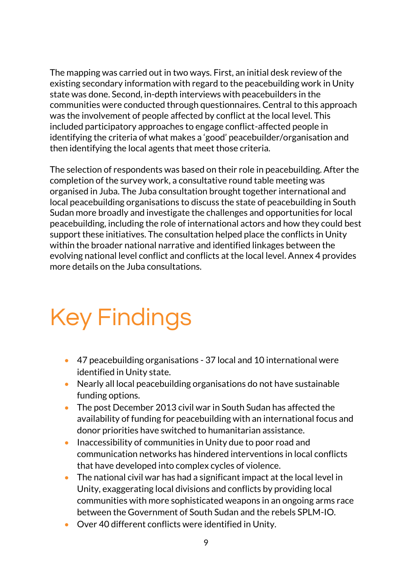The mapping was carried out in two ways. First, an initial desk review of the existing secondary information with regard to the peacebuilding work in Unity state was done. Second, in-depth interviews with peacebuilders in the communities were conducted through questionnaires. Central to this approach was the involvement of people affected by conflict at the local level. This included participatory approaches to engage conflict-affected people in identifying the criteria of what makes a 'good' peacebuilder/organisation and then identifying the local agents that meet those criteria.

The selection of respondents was based on their role in peacebuilding. After the completion of the survey work, a consultative round table meeting was organised in Juba. The Juba consultation brought together international and local peacebuilding organisations to discuss the state of peacebuilding in South Sudan more broadly and investigate the challenges and opportunities for local peacebuilding, including the role of international actors and how they could best support these initiatives. The consultation helped place the conflicts in Unity within the broader national narrative and identified linkages between the evolving national level conflict and conflicts at the local level. Annex 4 provides more details on the Juba consultations.

## Key Findings

- 47 peacebuilding organisations 37 local and 10 international were identified in Unity state.
- Nearly all local peacebuilding organisations do not have sustainable funding options.
- The post December 2013 civil war in South Sudan has affected the availability of funding for peacebuilding with an international focus and donor priorities have switched to humanitarian assistance.
- Inaccessibility of communities in Unity due to poor road and communication networks has hindered interventions in local conflicts that have developed into complex cycles of violence.
- The national civil war has had a significant impact at the local level in Unity, exaggerating local divisions and conflicts by providing local communities with more sophisticated weapons in an ongoing arms race between the Government of South Sudan and the rebels SPLM-IO.
- Over 40 different conflicts were identified in Unity.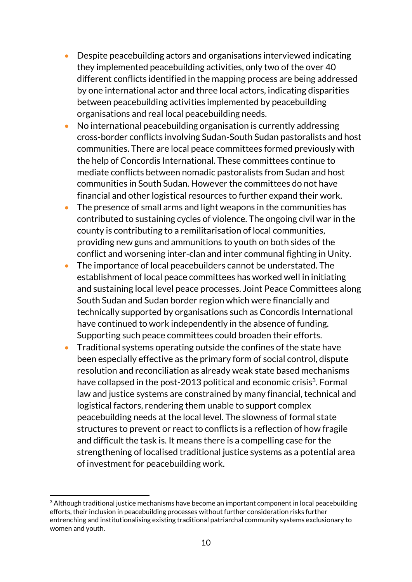- Despite peacebuilding actors and organisations interviewed indicating they implemented peacebuilding activities, only two of the over 40 different conflicts identified in the mapping process are being addressed by one international actor and three local actors, indicating disparities between peacebuilding activities implemented by peacebuilding organisations and real local peacebuilding needs.
- No international peacebuilding organisation is currently addressing cross-border conflicts involving Sudan-South Sudan pastoralists and host communities. There are local peace committees formed previously with the help of Concordis International. These committees continue to mediate conflicts between nomadic pastoralists from Sudan and host communities in South Sudan. However the committees do not have financial and other logistical resources to further expand their work.
- The presence of small arms and light weapons in the communities has contributed to sustaining cycles of violence. The ongoing civil war in the county is contributing to a remilitarisation of local communities, providing new guns and ammunitions to youth on both sides of the conflict and worsening inter-clan and inter communal fighting in Unity.
- The importance of local peacebuilders cannot be understated. The establishment of local peace committees has worked well in initiating and sustaining local level peace processes. Joint Peace Committees along South Sudan and Sudan border region which were financially and technically supported by organisations such as Concordis International have continued to work independently in the absence of funding. Supporting such peace committees could broaden their efforts.
- Traditional systems operating outside the confines of the state have been especially effective as the primary form of social control, dispute resolution and reconciliation as already weak state based mechanisms have collapsed in the post-2013 political and economic crisis<sup>3</sup>. Formal law and justice systems are constrained by many financial, technical and logistical factors, rendering them unable to support complex peacebuilding needs at the local level. The slowness of formal state structures to prevent or react to conflicts is a reflection of how fragile and difficult the task is. It means there is a compelling case for the strengthening of localised traditional justice systems as a potential area of investment for peacebuilding work.

<u>.</u>

 $3$  Although traditional justice mechanisms have become an important component in local peacebuilding efforts, their inclusion in peacebuilding processes without further consideration risks further entrenching and institutionalising existing traditional patriarchal community systems exclusionary to women and youth.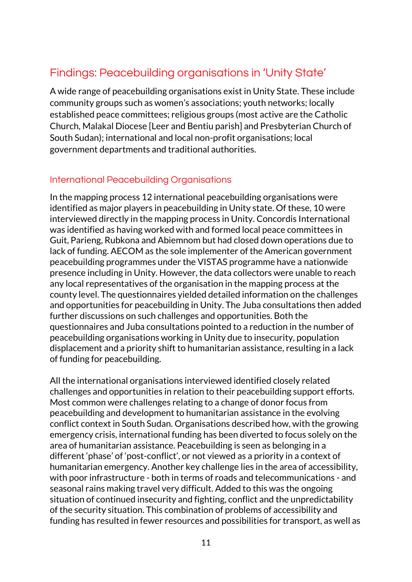## Findings: Peacebuilding organisations in 'Unity State'

A wide range of peacebuilding organisations exist in Unity State. These include community groups such as women's associations; youth networks; locally established peace committees; religious groups (most active are the Catholic Church, Malakal Diocese [Leer and Bentiu parish] and Presbyterian Church of South Sudan); international and local non-profit organisations; local government departments and traditional authorities.

### International Peacebuilding Organisations

In the mapping process 12 international peacebuilding organisations were identified as major players in peacebuilding in Unity state. Of these, 10 were interviewed directly in the mapping process in Unity. Concordis International was identified as having worked with and formed local peace committees in Guit, Parieng, Rubkona and Abiemnom but had closed down operations due to lack of funding. AECOM as the sole implementer of the American government peacebuilding programmes under the VISTAS programme have a nationwide presence including in Unity. However, the data collectors were unable to reach any local representatives of the organisation in the mapping process at the county level. The questionnaires yielded detailed information on the challenges and opportunities for peacebuilding in Unity. The Juba consultations then added further discussions on such challenges and opportunities. Both the questionnaires and Juba consultations pointed to a reduction in the number of peacebuilding organisations working in Unity due to insecurity, population displacement and a priority shift to humanitarian assistance, resulting in a lack of funding for peacebuilding.

All the international organisations interviewed identified closely related challenges and opportunities in relation to their peacebuilding support efforts. Most common were challenges relating to a change of donor focus from peacebuilding and development to humanitarian assistance in the evolving conflict context in South Sudan. Organisations described how, with the growing emergency crisis, international funding has been diverted to focus solely on the area of humanitarian assistance. Peacebuilding is seen as belonging in a different 'phase' of 'post-conflict', or not viewed as a priority in a context of humanitarian emergency. Another key challenge lies in the area of accessibility, with poor infrastructure - both in terms of roads and telecommunications - and seasonal rains making travel very difficult. Added to this was the ongoing situation of continued insecurity and fighting, conflict and the unpredictability of the security situation. This combination of problems of accessibility and funding has resulted in fewer resources and possibilities for transport, as well as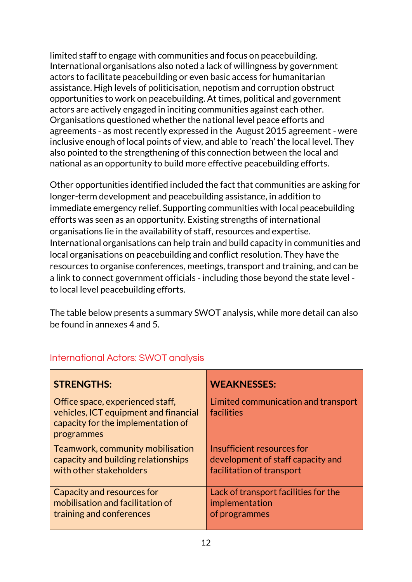limited staff to engage with communities and focus on peacebuilding. International organisations also noted a lack of willingness by government actors to facilitate peacebuilding or even basic access for humanitarian assistance. High levels of politicisation, nepotism and corruption obstruct opportunities to work on peacebuilding. At times, political and government actors are actively engaged in inciting communities against each other. Organisations questioned whether the national level peace efforts and agreements - as most recently expressed in the August 2015 agreement - were inclusive enough of local points of view, and able to 'reach' the local level. They also pointed to the strengthening of this connection between the local and national as an opportunity to build more effective peacebuilding efforts.

Other opportunities identified included the fact that communities are asking for longer-term development and peacebuilding assistance, in addition to immediate emergency relief. Supporting communities with local peacebuilding efforts was seen as an opportunity. Existing strengths of international organisations lie in the availability of staff, resources and expertise. International organisations can help train and build capacity in communities and local organisations on peacebuilding and conflict resolution. They have the resources to organise conferences, meetings, transport and training, and can be a link to connect government officials - including those beyond the state level to local level peacebuilding efforts.

The table below presents a summary SWOT analysis, while more detail can also be found in annexes 4 and 5.

| <b>STRENGTHS:</b>                                                                                                             | <b>WEAKNESSES:</b>                                                      |
|-------------------------------------------------------------------------------------------------------------------------------|-------------------------------------------------------------------------|
| Office space, experienced staff,<br>vehicles, ICT equipment and financial<br>capacity for the implementation of<br>programmes | Limited communication and transport<br>facilities                       |
| Teamwork, community mobilisation                                                                                              | Insufficient resources for                                              |
| capacity and building relationships<br>with other stakeholders                                                                | development of staff capacity and<br>facilitation of transport          |
| Capacity and resources for<br>mobilisation and facilitation of<br>training and conferences                                    | Lack of transport facilities for the<br>implementation<br>of programmes |

## International Actors: SWOT analysis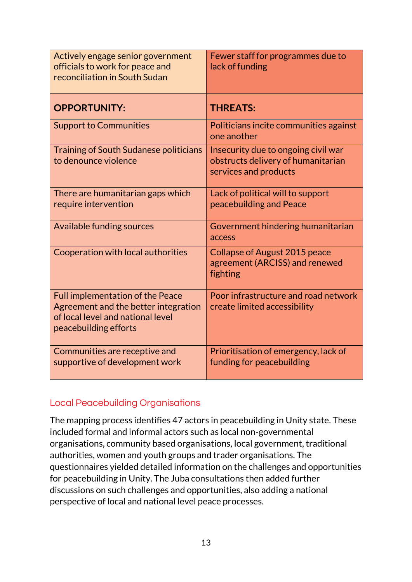| Actively engage senior government<br>officials to work for peace and<br>reconciliation in South Sudan                                         | Fewer staff for programmes due to<br>lack of funding                                               |
|-----------------------------------------------------------------------------------------------------------------------------------------------|----------------------------------------------------------------------------------------------------|
| <b>OPPORTUNITY:</b>                                                                                                                           | <b>THREATS:</b>                                                                                    |
| <b>Support to Communities</b>                                                                                                                 | Politicians incite communities against<br>one another                                              |
| <b>Training of South Sudanese politicians</b><br>to denounce violence                                                                         | Insecurity due to ongoing civil war<br>obstructs delivery of humanitarian<br>services and products |
| There are humanitarian gaps which<br>require intervention                                                                                     | Lack of political will to support<br>peacebuilding and Peace                                       |
| Available funding sources                                                                                                                     | Government hindering humanitarian<br>access                                                        |
| Cooperation with local authorities                                                                                                            | <b>Collapse of August 2015 peace</b><br>agreement (ARCISS) and renewed<br>fighting                 |
| <b>Full implementation of the Peace</b><br>Agreement and the better integration<br>of local level and national level<br>peacebuilding efforts | Poor infrastructure and road network<br>create limited accessibility                               |
| Communities are receptive and<br>supportive of development work                                                                               | Prioritisation of emergency, lack of<br>funding for peacebuilding                                  |

#### Local Peacebuilding Organisations

The mapping process identifies 47 actors in peacebuilding in Unity state. These included formal and informal actors such as local non-governmental organisations, community based organisations, local government, traditional authorities, women and youth groups and trader organisations. The questionnaires yielded detailed information on the challenges and opportunities for peacebuilding in Unity. The Juba consultations then added further discussions on such challenges and opportunities, also adding a national perspective of local and national level peace processes.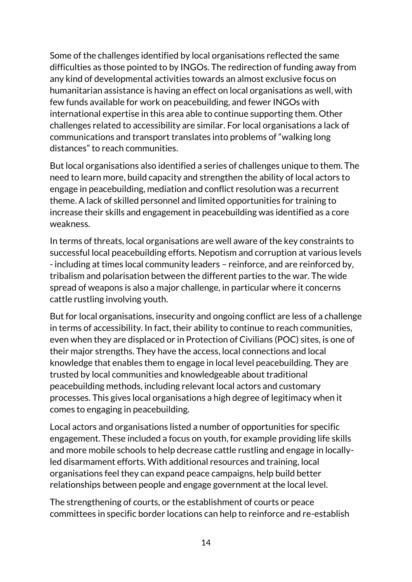Some of the challenges identified by local organisations reflected the same difficulties as those pointed to by INGOs. The redirection of funding away from any kind of developmental activities towards an almost exclusive focus on humanitarian assistance is having an effect on local organisations as well, with few funds available for work on peacebuilding, and fewer INGOs with international expertise in this area able to continue supporting them. Other challenges related to accessibility are similar. For local organisations a lack of communications and transport translates into problems of "walking long distances" to reach communities.

But local organisations also identified a series of challenges unique to them. The need to learn more, build capacity and strengthen the ability of local actors to engage in peacebuilding, mediation and conflict resolution was a recurrent theme. A lack of skilled personnel and limited opportunities for training to increase their skills and engagement in peacebuilding was identified as a core weakness.

In terms of threats, local organisations are well aware of the key constraints to successful local peacebuilding efforts. Nepotism and corruption at various levels - including at times local community leaders – reinforce, and are reinforced by, tribalism and polarisation between the different parties to the war. The wide spread of weapons is also a major challenge, in particular where it concerns cattle rustling involving youth.

But for local organisations, insecurity and ongoing conflict are less of a challenge in terms of accessibility. In fact, their ability to continue to reach communities, even when they are displaced or in Protection of Civilians (POC) sites, is one of their major strengths. They have the access, local connections and local knowledge that enables them to engage in local level peacebuilding. They are trusted by local communities and knowledgeable about traditional peacebuilding methods, including relevant local actors and customary processes. This gives local organisations a high degree of legitimacy when it comes to engaging in peacebuilding.

Local actors and organisations listed a number of opportunities for specific engagement. These included a focus on youth, for example providing life skills and more mobile schools to help decrease cattle rustling and engage in locallyled disarmament efforts. With additional resources and training, local organisations feel they can expand peace campaigns, help build better relationships between people and engage government at the local level.

The strengthening of courts, or the establishment of courts or peace committees in specific border locations can help to reinforce and re-establish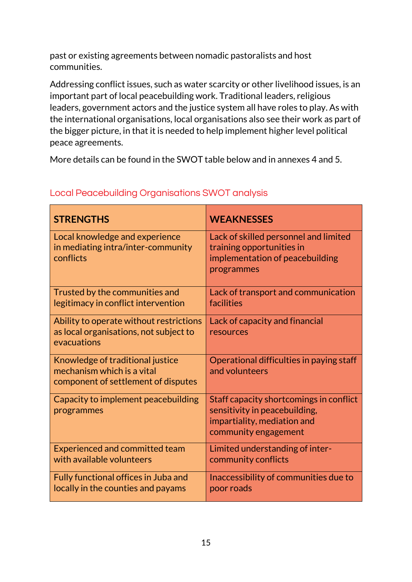past or existing agreements between nomadic pastoralists and host communities.

Addressing conflict issues, such as water scarcity or other livelihood issues, is an important part of local peacebuilding work. Traditional leaders, religious leaders, government actors and the justice system all have roles to play. As with the international organisations, local organisations also see their work as part of the bigger picture, in that it is needed to help implement higher level political peace agreements.

More details can be found in the SWOT table below and in annexes 4 and 5.

| <b>STRENGTHS</b>                                                                                      | <b>WEAKNESSES</b>                                                                                                               |
|-------------------------------------------------------------------------------------------------------|---------------------------------------------------------------------------------------------------------------------------------|
| Local knowledge and experience<br>in mediating intra/inter-community<br>conflicts                     | Lack of skilled personnel and limited<br>training opportunities in<br>implementation of peacebuilding<br>programmes             |
| Trusted by the communities and<br>legitimacy in conflict intervention                                 | Lack of transport and communication<br>facilities                                                                               |
| Ability to operate without restrictions<br>as local organisations, not subject to<br>evacuations      | Lack of capacity and financial<br>resources                                                                                     |
| Knowledge of traditional justice<br>mechanism which is a vital<br>component of settlement of disputes | Operational difficulties in paying staff<br>and volunteers                                                                      |
| Capacity to implement peacebuilding<br>programmes                                                     | Staff capacity shortcomings in conflict<br>sensitivity in peacebuilding,<br>impartiality, mediation and<br>community engagement |
| <b>Experienced and committed team</b><br>with available volunteers                                    | Limited understanding of inter-<br>community conflicts                                                                          |
| Fully functional offices in Juba and<br>locally in the counties and payams                            | Inaccessibility of communities due to<br>poor roads                                                                             |

### Local Peacebuilding Organisations SWOT analysis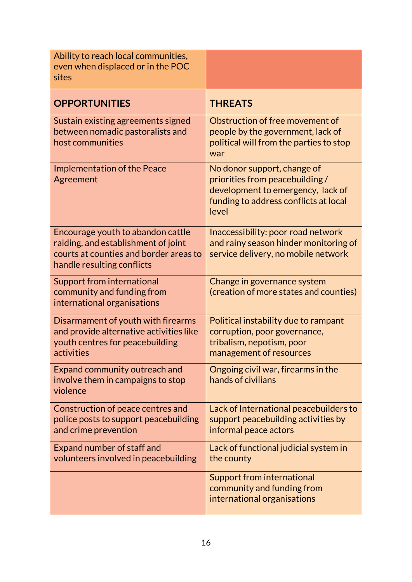| Ability to reach local communities,<br>even when displaced or in the POC<br>sites                                                                |                                                                                                                                                      |
|--------------------------------------------------------------------------------------------------------------------------------------------------|------------------------------------------------------------------------------------------------------------------------------------------------------|
| <b>OPPORTUNITIES</b>                                                                                                                             | <b>THREATS</b>                                                                                                                                       |
| Sustain existing agreements signed<br>between nomadic pastoralists and<br>host communities                                                       | Obstruction of free movement of<br>people by the government, lack of<br>political will from the parties to stop<br>war                               |
| <b>Implementation of the Peace</b><br>Agreement                                                                                                  | No donor support, change of<br>priorities from peacebuilding/<br>development to emergency, lack of<br>funding to address conflicts at local<br>level |
| Encourage youth to abandon cattle<br>raiding, and establishment of joint<br>courts at counties and border areas to<br>handle resulting conflicts | Inaccessibility: poor road network<br>and rainy season hinder monitoring of<br>service delivery, no mobile network                                   |
| Support from international<br>community and funding from<br>international organisations                                                          | Change in governance system<br>(creation of more states and counties)                                                                                |
| Disarmament of youth with firearms<br>and provide alternative activities like<br>youth centres for peacebuilding<br>activities                   | Political instability due to rampant<br>corruption, poor governance,<br>tribalism, nepotism, poor<br>management of resources                         |
| Expand community outreach and<br>involve them in campaigns to stop<br>violence                                                                   | Ongoing civil war, firearms in the<br>hands of civilians                                                                                             |
| Construction of peace centres and<br>police posts to support peacebuilding<br>and crime prevention                                               | Lack of International peacebuilders to<br>support peacebuilding activities by<br>informal peace actors                                               |
| Expand number of staff and<br>volunteers involved in peacebuilding                                                                               | Lack of functional judicial system in<br>the county                                                                                                  |
|                                                                                                                                                  | Support from international<br>community and funding from<br>international organisations                                                              |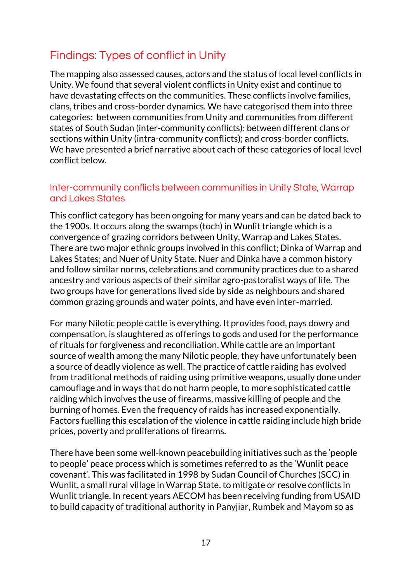## Findings: Types of conflict in Unity

The mapping also assessed causes, actors and the status of local level conflicts in Unity. We found that several violent conflicts in Unity exist and continue to have devastating effects on the communities. These conflicts involve families, clans, tribes and cross-border dynamics. We have categorised them into three categories: between communities from Unity and communities from different states of South Sudan (inter-community conflicts); between different clans or sections within Unity (intra-community conflicts); and cross-border conflicts. We have presented a brief narrative about each of these categories of local level conflict below.

### Inter-community conflicts between communities in Unity State, Warrap and Lakes States

This conflict category has been ongoing for many years and can be dated back to the 1900s. It occurs along the swamps (toch) in Wunlit triangle which is a convergence of grazing corridors between Unity, Warrap and Lakes States. There are two major ethnic groups involved in this conflict; Dinka of Warrap and Lakes States; and Nuer of Unity State. Nuer and Dinka have a common history and follow similar norms, celebrations and community practices due to a shared ancestry and various aspects of their similar agro-pastoralist ways of life. The two groups have for generations lived side by side as neighbours and shared common grazing grounds and water points, and have even inter-married.

For many Nilotic people cattle is everything. It provides food, pays dowry and compensation, is slaughtered as offerings to gods and used for the performance of rituals for forgiveness and reconciliation. While cattle are an important source of wealth among the many Nilotic people, they have unfortunately been a source of deadly violence as well. The practice of cattle raiding has evolved from traditional methods of raiding using primitive weapons, usually done under camouflage and in ways that do not harm people, to more sophisticated cattle raiding which involves the use of firearms, massive killing of people and the burning of homes. Even the frequency of raids has increased exponentially. Factors fuelling this escalation of the violence in cattle raiding include high bride prices, poverty and proliferations of firearms.

There have been some well-known peacebuilding initiatives such as the 'people to people' peace process which is sometimes referred to as the 'Wunlit peace covenant'. This was facilitated in 1998 by Sudan Council of Churches (SCC) in Wunlit, a small rural village in Warrap State, to mitigate or resolve conflicts in Wunlit triangle. In recent years AECOM has been receiving funding from USAID to build capacity of traditional authority in Panyjiar, Rumbek and Mayom so as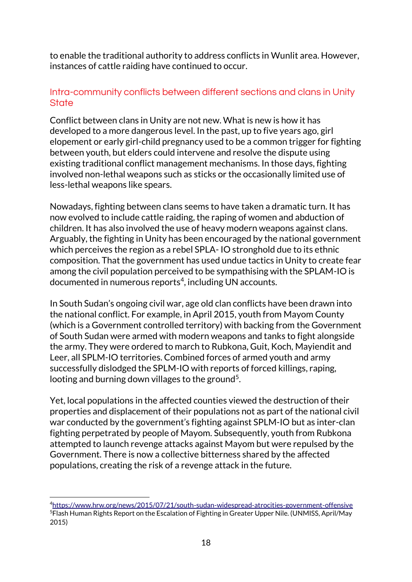to enable the traditional authority to address conflicts in Wunlit area. However, instances of cattle raiding have continued to occur.

## Intra-community conflicts between different sections and clans in Unity **State**

Conflict between clans in Unity are not new. What is new is how it has developed to a more dangerous level. In the past, up to five years ago, girl elopement or early girl-child pregnancy used to be a common trigger for fighting between youth, but elders could intervene and resolve the dispute using existing traditional conflict management mechanisms. In those days, fighting involved non-lethal weapons such as sticks or the occasionally limited use of less-lethal weapons like spears.

Nowadays, fighting between clans seems to have taken a dramatic turn. It has now evolved to include cattle raiding, the raping of women and abduction of children. It has also involved the use of heavy modern weapons against clans. Arguably, the fighting in Unity has been encouraged by the national government which perceives the region as a rebel SPLA- IO stronghold due to its ethnic composition. That the government has used undue tactics in Unity to create fear among the civil population perceived to be sympathising with the SPLAM-IO is documented in numerous reports<sup>4</sup>, including UN accounts.

In South Sudan's ongoing civil war, age old clan conflicts have been drawn into the national conflict. For example, in April 2015, youth from Mayom County (which is a Government controlled territory) with backing from the Government of South Sudan were armed with modern weapons and tanks to fight alongside the army. They were ordered to march to Rubkona, Guit, Koch, Mayiendit and Leer, all SPLM-IO territories. Combined forces of armed youth and army successfully dislodged the SPLM-IO with reports of forced killings, raping, looting and burning down villages to the ground<sup>5</sup>.

Yet, local populations in the affected counties viewed the destruction of their properties and displacement of their populations not as part of the national civil war conducted by the government's fighting against SPLM-IO but as inter-clan fighting perpetrated by people of Mayom. Subsequently, youth from Rubkona attempted to launch revenge attacks against Mayom but were repulsed by the Government. There is now a collective bitterness shared by the affected populations, creating the risk of a revenge attack in the future.

<u>.</u>

<sup>4</sup><https://www.hrw.org/news/2015/07/21/south-sudan-widespread-atrocities-government-offensive> <sup>5</sup>Flash Human Rights Report on the Escalation of Fighting in Greater Upper Nile. (UNMISS, April/May 2015)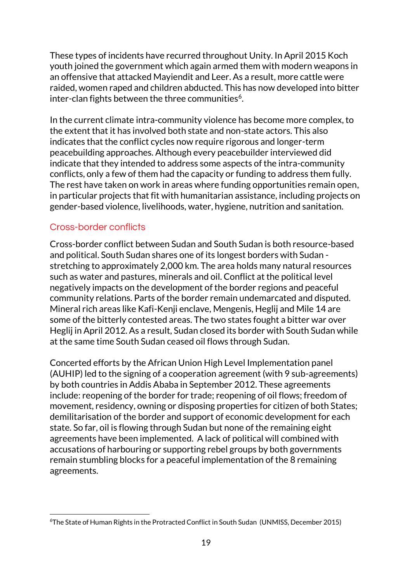These types of incidents have recurred throughout Unity. In April 2015 Koch youth joined the government which again armed them with modern weapons in an offensive that attacked Mayiendit and Leer. As a result, more cattle were raided, women raped and children abducted. This has now developed into bitter inter-clan fights between the three communities<sup>6</sup>.

In the current climate intra-community violence has become more complex, to the extent that it has involved both state and non-state actors. This also indicates that the conflict cycles now require rigorous and longer-term peacebuilding approaches. Although every peacebuilder interviewed did indicate that they intended to address some aspects of the intra-community conflicts, only a few of them had the capacity or funding to address them fully. The rest have taken on work in areas where funding opportunities remain open, in particular projects that fit with humanitarian assistance, including projects on gender-based violence, livelihoods, water, hygiene, nutrition and sanitation.

## Cross-border conflicts

Cross-border conflict between Sudan and South Sudan is both resource-based and political. South Sudan shares one of its longest borders with Sudan stretching to approximately 2,000 km. The area holds many natural resources such as water and pastures, minerals and oil. Conflict at the political level negatively impacts on the development of the border regions and peaceful community relations. Parts of the border remain undemarcated and disputed. Mineral rich areas like Kafi-Kenji enclave, Mengenis, Heglij and Mile 14 are some of the bitterly contested areas. The two states fought a bitter war over Heglij in April 2012. As a result, Sudan closed its border with South Sudan while at the same time South Sudan ceased oil flows through Sudan.

Concerted efforts by the African Union High Level Implementation panel (AUHIP) led to the signing of a cooperation agreement (with 9 sub-agreements) by both countries in Addis Ababa in September 2012. These agreements include: reopening of the border for trade; reopening of oil flows; freedom of movement, residency, owning or disposing properties for citizen of both States; demilitarisation of the border and support of economic development for each state. So far, oil is flowing through Sudan but none of the remaining eight agreements have been implemented. A lack of political will combined with accusations of harbouring or supporting rebel groups by both governments remain stumbling blocks for a peaceful implementation of the 8 remaining agreements.

<sup>&</sup>lt;u>.</u> 6The State of Human Rights in the Protracted Conflict in South Sudan (UNMISS, December 2015)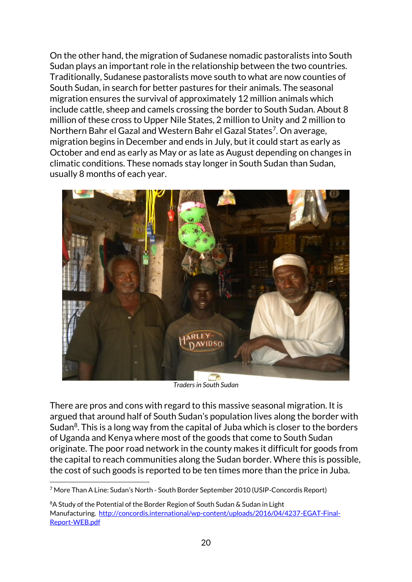On the other hand, the migration of Sudanese nomadic pastoralists into South Sudan plays an important role in the relationship between the two countries. Traditionally, Sudanese pastoralists move south to what are now counties of South Sudan, in search for better pastures for their animals. The seasonal migration ensures the survival of approximately 12 million animals which include cattle, sheep and camels crossing the border to South Sudan. About 8 million of these cross to Upper Nile States, 2 million to Unity and 2 million to Northern Bahr el Gazal and Western Bahr el Gazal States<sup>7</sup>. On average, migration begins in December and ends in July, but it could start as early as October and end as early as May or as late as August depending on changes in climatic conditions. These nomads stay longer in South Sudan than Sudan, usually 8 months of each year.



*Traders in South Sudan*

There are pros and cons with regard to this massive seasonal migration. It is argued that around half of South Sudan's population lives along the border with Sudan $8$ . This is a long way from the capital of Juba which is closer to the borders of Uganda and Kenya where most of the goods that come to South Sudan originate. The poor road network in the county makes it difficult for goods from the capital to reach communities along the Sudan border. Where this is possible, the cost of such goods is reported to be ten times more than the price in Juba.

<sup>&</sup>lt;u>.</u> <sup>7</sup> More Than A Line: Sudan's North - South Border September 2010 (USIP-Concordis Report)

<sup>&</sup>lt;sup>8</sup>A Study of the Potential of the Border Region of South Sudan & Sudan in Light Manufacturing. [http://concordis.international/wp-content/uploads/2016/04/4237-EGAT-Final-](http://concordis.international/wp-content/uploads/2016/04/4237-EGAT-Final-Report-WEB.pdf)[Report-WEB.pdf](http://concordis.international/wp-content/uploads/2016/04/4237-EGAT-Final-Report-WEB.pdf)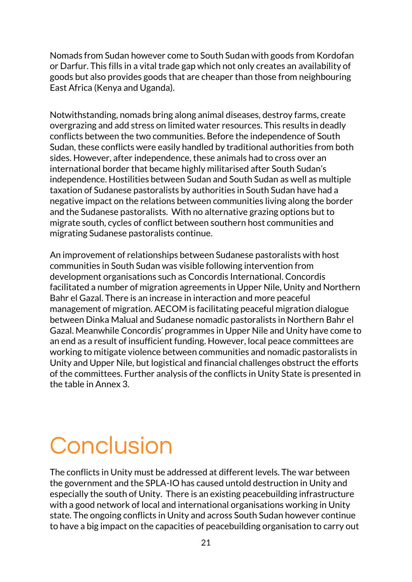Nomads from Sudan however come to South Sudan with goods from Kordofan or Darfur. This fills in a vital trade gap which not only creates an availability of goods but also provides goods that are cheaper than those from neighbouring East Africa (Kenya and Uganda).

Notwithstanding, nomads bring along animal diseases, destroy farms, create overgrazing and add stress on limited water resources. This results in deadly conflicts between the two communities. Before the independence of South Sudan, these conflicts were easily handled by traditional authorities from both sides. However, after independence, these animals had to cross over an international border that became highly militarised after South Sudan's independence. Hostilities between Sudan and South Sudan as well as multiple taxation of Sudanese pastoralists by authorities in South Sudan have had a negative impact on the relations between communities living along the border and the Sudanese pastoralists. With no alternative grazing options but to migrate south, cycles of conflict between southern host communities and migrating Sudanese pastoralists continue.

An improvement of relationships between Sudanese pastoralists with host communities in South Sudan was visible following intervention from development organisations such as Concordis International. Concordis facilitated a number of migration agreements in Upper Nile, Unity and Northern Bahr el Gazal. There is an increase in interaction and more peaceful management of migration. AECOM is facilitating peaceful migration dialogue between Dinka Malual and Sudanese nomadic pastoralists in Northern Bahr el Gazal. Meanwhile Concordis' programmes in Upper Nile and Unity have come to an end as a result of insufficient funding. However, local peace committees are working to mitigate violence between communities and nomadic pastoralists in Unity and Upper Nile, but logistical and financial challenges obstruct the efforts of the committees. Further analysis of the conflicts in Unity State is presented in the table in Annex 3.

## **Conclusion**

The conflicts in Unity must be addressed at different levels. The war between the government and the SPLA-IO has caused untold destruction in Unity and especially the south of Unity. There is an existing peacebuilding infrastructure with a good network of local and international organisations working in Unity state. The ongoing conflicts in Unity and across South Sudan however continue to have a big impact on the capacities of peacebuilding organisation to carry out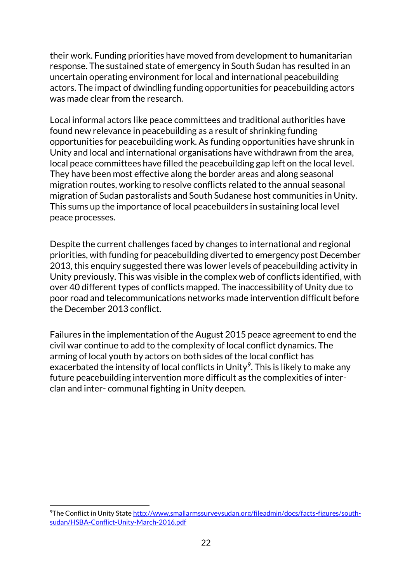their work. Funding priorities have moved from development to humanitarian response. The sustained state of emergency in South Sudan has resulted in an uncertain operating environment for local and international peacebuilding actors. The impact of dwindling funding opportunities for peacebuilding actors was made clear from the research.

Local informal actors like peace committees and traditional authorities have found new relevance in peacebuilding as a result of shrinking funding opportunities for peacebuilding work. As funding opportunities have shrunk in Unity and local and international organisations have withdrawn from the area, local peace committees have filled the peacebuilding gap left on the local level. They have been most effective along the border areas and along seasonal migration routes, working to resolve conflicts related to the annual seasonal migration of Sudan pastoralists and South Sudanese host communities in Unity. This sums up the importance of local peacebuilders in sustaining local level peace processes.

Despite the current challenges faced by changes to international and regional priorities, with funding for peacebuilding diverted to emergency post December 2013, this enquiry suggested there was lower levels of peacebuilding activity in Unity previously. This was visible in the complex web of conflicts identified, with over 40 different types of conflicts mapped. The inaccessibility of Unity due to poor road and telecommunications networks made intervention difficult before the December 2013 conflict.

Failures in the implementation of the August 2015 peace agreement to end the civil war continue to add to the complexity of local conflict dynamics. The arming of local youth by actors on both sides of the local conflict has exacerbated the intensity of local conflicts in Unity<sup>9</sup>. This is likely to make any future peacebuilding intervention more difficult as the complexities of interclan and inter- communal fighting in Unity deepen.

<u>.</u>

<sup>&</sup>lt;sup>9</sup>The Conflict in Unity Stat[e http://www.smallarmssurveysudan.org/fileadmin/docs/facts-figures/south](http://www.smallarmssurveysudan.org/fileadmin/docs/facts-figures/south-sudan/HSBA-Conflict-Unity-March-2016.pdf)[sudan/HSBA-Conflict-Unity-March-2016.pdf](http://www.smallarmssurveysudan.org/fileadmin/docs/facts-figures/south-sudan/HSBA-Conflict-Unity-March-2016.pdf)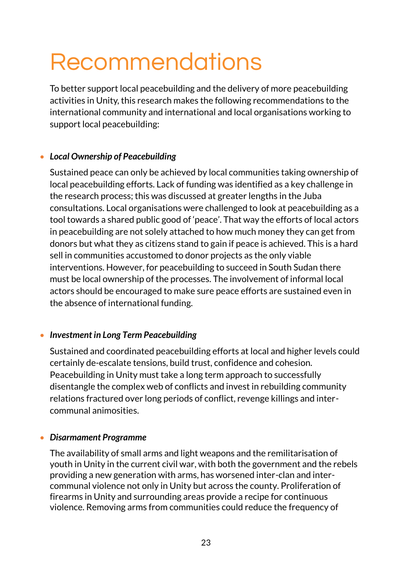## Recommendations

To better support local peacebuilding and the delivery of more peacebuilding activities in Unity, this research makes the following recommendations to the international community and international and local organisations working to support local peacebuilding:

## *Local Ownership of Peacebuilding*

Sustained peace can only be achieved by local communities taking ownership of local peacebuilding efforts. Lack of funding was identified as a key challenge in the research process; this was discussed at greater lengths in the Juba consultations. Local organisations were challenged to look at peacebuilding as a tool towards a shared public good of 'peace'. That way the efforts of local actors in peacebuilding are not solely attached to how much money they can get from donors but what they as citizens stand to gain if peace is achieved. This is a hard sell in communities accustomed to donor projects as the only viable interventions. However, for peacebuilding to succeed in South Sudan there must be local ownership of the processes. The involvement of informal local actors should be encouraged to make sure peace efforts are sustained even in the absence of international funding.

## *Investment in Long Term Peacebuilding*

Sustained and coordinated peacebuilding efforts at local and higher levels could certainly de-escalate tensions, build trust, confidence and cohesion. Peacebuilding in Unity must take a long term approach to successfully disentangle the complex web of conflicts and invest in rebuilding community relations fractured over long periods of conflict, revenge killings and intercommunal animosities.

#### *Disarmament Programme*

The availability of small arms and light weapons and the remilitarisation of youth in Unity in the current civil war, with both the government and the rebels providing a new generation with arms, has worsened inter-clan and intercommunal violence not only in Unity but across the county. Proliferation of firearms in Unity and surrounding areas provide a recipe for continuous violence. Removing arms from communities could reduce the frequency of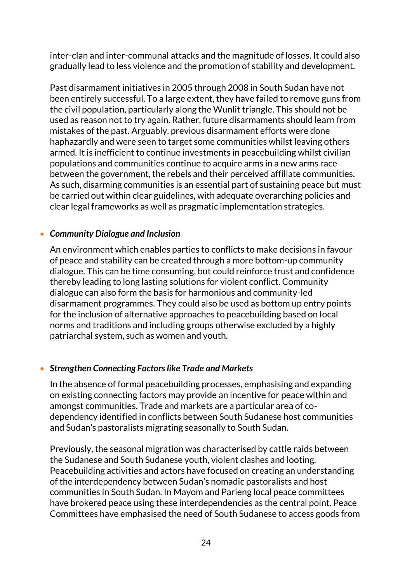inter-clan and inter-communal attacks and the magnitude of losses. It could also gradually lead to less violence and the promotion of stability and development.

Past disarmament initiatives in 2005 through 2008 in South Sudan have not been entirely successful. To a large extent, they have failed to remove guns from the civil population, particularly along the Wunlit triangle. This should not be used as reason not to try again. Rather, future disarmaments should learn from mistakes of the past. Arguably, previous disarmament efforts were done haphazardly and were seen to target some communities whilst leaving others armed. It is inefficient to continue investments in peacebuilding whilst civilian populations and communities continue to acquire arms in a new arms race between the government, the rebels and their perceived affiliate communities. As such, disarming communities is an essential part of sustaining peace but must be carried out within clear guidelines, with adequate overarching policies and clear legal frameworks as well as pragmatic implementation strategies.

#### *Community Dialogue and Inclusion*

An environment which enables parties to conflicts to make decisions in favour of peace and stability can be created through a more bottom-up community dialogue. This can be time consuming, but could reinforce trust and confidence thereby leading to long lasting solutions for violent conflict. Community dialogue can also form the basis for harmonious and community-led disarmament programmes. They could also be used as bottom up entry points for the inclusion of alternative approaches to peacebuilding based on local norms and traditions and including groups otherwise excluded by a highly patriarchal system, such as women and youth.

#### *Strengthen Connecting Factors like Trade and Markets*

In the absence of formal peacebuilding processes, emphasising and expanding on existing connecting factors may provide an incentive for peace within and amongst communities. Trade and markets are a particular area of codependency identified in conflicts between South Sudanese host communities and Sudan's pastoralists migrating seasonally to South Sudan.

Previously, the seasonal migration was characterised by cattle raids between the Sudanese and South Sudanese youth, violent clashes and looting. Peacebuilding activities and actors have focused on creating an understanding of the interdependency between Sudan's nomadic pastoralists and host communities in South Sudan. In Mayom and Parieng local peace committees have brokered peace using these interdependencies as the central point. Peace Committees have emphasised the need of South Sudanese to access goods from